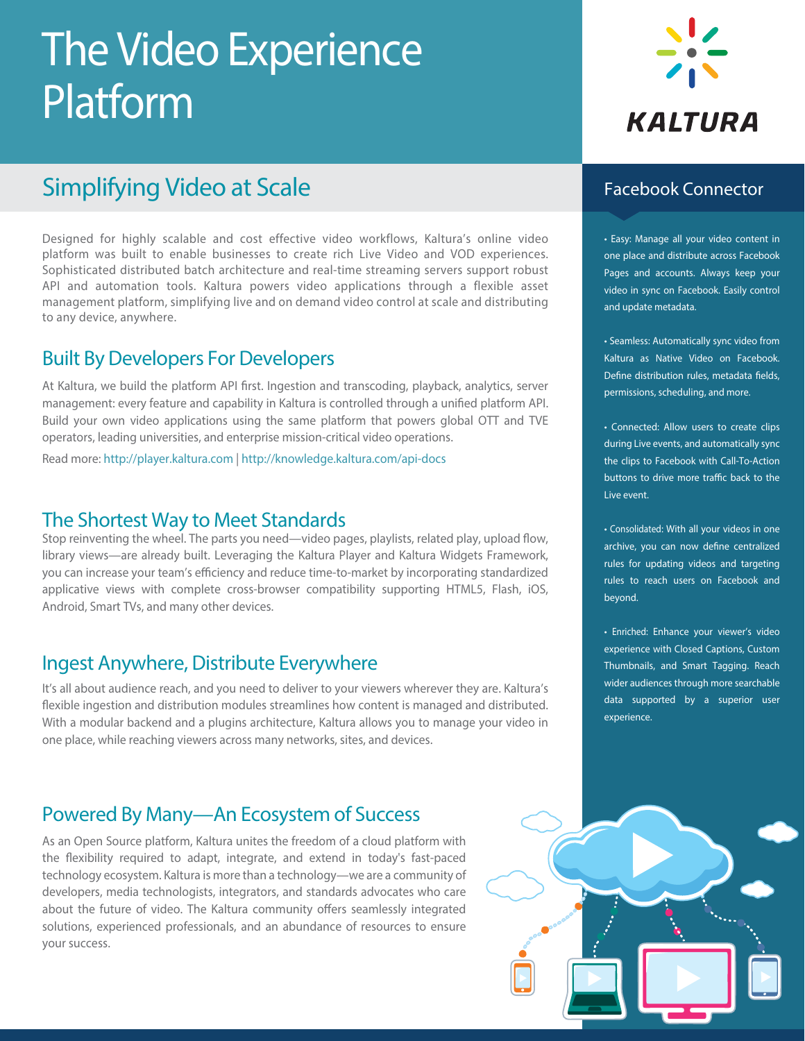# The Video Experience Platform

# Simplifying Video at Scale

Designed for highly scalable and cost effective video workflows, Kaltura's online video platform was built to enable businesses to create rich Live Video and VOD experiences. Sophisticated distributed batch architecture and real-time streaming servers support robust API and automation tools. Kaltura powers video applications through a flexible asset management platform, simplifying live and on demand video control at scale and distributing to any device, anywhere.

# Built By Developers For Developers

At Kaltura, we build the platform API first. Ingestion and transcoding, playback, analytics, server management: every feature and capability in Kaltura is controlled through a unified platform API. Build your own video applications using the same platform that powers global OTT and TVE operators, leading universities, and enterprise mission-critical video operations.

Read more: http://player.kaltura.com | http://knowledge.kaltura.com/api-docs

### The Shortest Way to Meet Standards

Stop reinventing the wheel. The parts you need—video pages, playlists, related play, upload flow, library views—are already built. Leveraging the Kaltura Player and Kaltura Widgets Framework, you can increase your team's efficiency and reduce time-to-market by incorporating standardized applicative views with complete cross-browser compatibility supporting HTML5, Flash, iOS, Android, Smart TVs, and many other devices.

### Ingest Anywhere, Distribute Everywhere

It's all about audience reach, and you need to deliver to your viewers wherever they are. Kaltura's flexible ingestion and distribution modules streamlines how content is managed and distributed. With a modular backend and a plugins architecture, Kaltura allows you to manage your video in one place, while reaching viewers across many networks, sites, and devices.

# Powered By Many—An Ecosystem of Success

As an Open Source platform, Kaltura unites the freedom of a cloud platform with the flexibility required to adapt, integrate, and extend in today's fast-paced technology ecosystem. Kaltura is more than a technology—we are a community of developers, media technologists, integrators, and standards advocates who care about the future of video. The Kaltura community offers seamlessly integrated solutions, experienced professionals, and an abundance of resources to ensure your success.





### Facebook Connector

• Easy: Manage all your video content in one place and distribute across Facebook Pages and accounts. Always keep your video in sync on Facebook. Easily control and update metadata.

• Seamless: Automatically sync video from Kaltura as Native Video on Facebook. Define distribution rules, metadata fields, permissions, scheduling, and more.

• Connected: Allow users to create clips during Live events, and automatically sync the clips to Facebook with Call-To-Action buttons to drive more traffic back to the Live event.

• Consolidated: With all your videos in one archive, you can now define centralized rules for updating videos and targeting rules to reach users on Facebook and beyond.

• Enriched: Enhance your viewer's video experience with Closed Captions, Custom Thumbnails, and Smart Tagging. Reach wider audiences through more searchable data supported by a superior user experience.